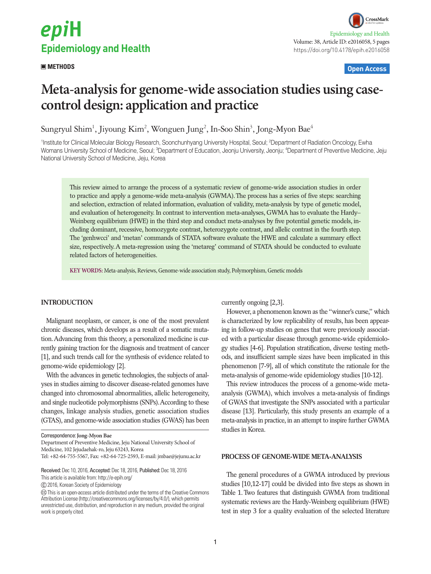# epiH **Epidemiology and Health**

CrossMark Epidemiology and Health Volume: 38, Article ID: e2016058, 5 pages https://doi.org/10.4178/epih.e2016058

# **METHODS Open Access**

# **Meta-analysis for genome-wide association studies using casecontrol design: application and practice**

Sungryul Shim<sup>1</sup>, Jiyoung Kim<sup>2</sup>, Wonguen Jung<sup>2</sup>, In-Soo Shin<sup>3</sup>, Jong-Myon Bae<sup>4</sup>

<sup>1</sup>Institute for Clinical Molecular Biology Research, Soonchunhyang University Hospital, Seoul; <sup>2</sup>Department of Radiation Oncology, Ewha Womans University School of Medicine, Seoul; <sup>3</sup>Department of Education, Jeonju University, Jeonju; <sup>4</sup>Department of Preventive Medicine, Jeju National University School of Medicine, Jeju, Korea

This review aimed to arrange the process of a systematic review of genome-wide association studies in order to practice and apply a genome-wide meta-analysis (GWMA). The process has a series of five steps: searching and selection, extraction of related information, evaluation of validity, meta-analysis by type of genetic model, and evaluation of heterogeneity. In contrast to intervention meta-analyses, GWMA has to evaluate the Hardy– Weinberg equilibrium (HWE) in the third step and conduct meta-analyses by five potential genetic models, including dominant, recessive, homozygote contrast, heterozygote contrast, and allelic contrast in the fourth step. The 'genhwcci' and 'metan' commands of STATA software evaluate the HWE and calculate a summary effect size, respectively. A meta-regression using the 'metareg' command of STATA should be conducted to evaluate related factors of heterogeneities.

**KEY WORDS:** Meta-analysis, Reviews, Genome-wide association study, Polymorphism, Genetic models

# **INTRODUCTION**

Malignant neoplasm, or cancer, is one of the most prevalent chronic diseases, which develops as a result of a somatic mutation. Advancing from this theory, a personalized medicine is currently gaining traction for the diagnosis and treatment of cancer [1], and such trends call for the synthesis of evidence related to genome-wide epidemiology [2].

With the advances in genetic technologies, the subjects of analyses in studies aiming to discover disease-related genomes have changed into chromosomal abnormalities, allelic heterogeneity, and single nucleotide polymorphisms (SNPs). According to these changes, linkage analysis studies, genetic association studies (GTAS), and genome-wide association studies (GWAS) has been currently ongoing [2,3].

However, a phenomenon known as the "winner's curse," which is characterized by low replicability of results, has been appearing in follow-up studies on genes that were previously associated with a particular disease through genome-wide epidemiology studies [4-6]. Population stratification, diverse testing methods, and insufficient sample sizes have been implicated in this phenomenon [7-9], all of which constitute the rationale for the meta-analysis of genome-wide epidemiology studies [10-12].

This review introduces the process of a genome-wide metaanalysis (GWMA), which involves a meta-analysis of findings of GWAS that investigate the SNPs associated with a particular disease [13]. Particularly, this study presents an example of a meta-analysis in practice, in an attempt to inspire further GWMA studies in Korea.

# **PROCESS OF GENOME-WIDE META-ANALYSIS**

The general procedures of a GWMA introduced by previous studies [10,12-17] could be divided into five steps as shown in Table 1. Two features that distinguish GWMA from traditional systematic reviews are the Hardy-Weinberg equilibrium (HWE) test in step 3 for a quality evaluation of the selected literature

Correspondence: **Jong-Myon Bae**

Department of Preventive Medicine, Jeju National University School of Medicine, 102 Jejudaehak-ro, Jeju 63243, Korea

Tel: +82-64-755-5567, Fax: +82-64-725-2593, E-mail: jmbae@jejunu.ac.kr

Received: Dec 10, 2016, Accepted: Dec 18, 2016, Published: Dec 18, 2016

This article is available from: http://e-epih.org/

 <sup>2016,</sup> Korean Society of Epidemiology

This is an open-access article distributed under the terms of the Creative Commons Attribution License (http://creativecommons.org/licenses/by/4.0/), which permits unrestricted use, distribution, and reproduction in any medium, provided the original work is properly cited.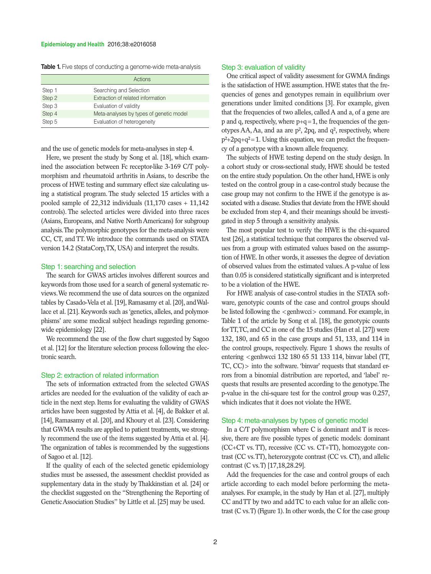#### **Epidemiology and Health** 2016;38:e2016058

|  |  |  |  |  |  |  |  |  | <b>Table 1.</b> Five steps of conducting a genome-wide meta-analysis |  |
|--|--|--|--|--|--|--|--|--|----------------------------------------------------------------------|--|
|--|--|--|--|--|--|--|--|--|----------------------------------------------------------------------|--|

|        | Actions                                 |
|--------|-----------------------------------------|
| Step 1 | Searching and Selection                 |
| Step 2 | Extraction of related information       |
| Step 3 | Evaluation of validity                  |
| Step 4 | Meta-analyses by types of genetic model |
| Step 5 | Evaluation of heterogeneity             |

and the use of genetic models for meta-analyses in step 4.

Here, we present the study by Song et al. [18], which examined the association between Fc receptor-like 3-169 C/T polymorphism and rheumatoid arthritis in Asians, to describe the process of HWE testing and summary effect size calculating using a statistical program. The study selected 15 articles with a pooled sample of 22,312 individuals (11,170 cases + 11,142 controls). The selected articles were divided into three races (Asians, Europeans, and Native North Americans) for subgroup analysis. The polymorphic genotypes for the meta-analysis were CC, CT, and TT. We introduce the commands used on STATA version 14.2 (StataCorp, TX, USA) and interpret the results.

#### Step 1: searching and selection

The search for GWAS articles involves different sources and keywords from those used for a search of general systematic reviews. We recommend the use of data sources on the organized tables by Casado-Vela et al. [19], Ramasamy et al. [20], and Wallace et al. [21]. Keywords such as 'genetics, alleles, and polymorphisms' are some medical subject headings regarding genomewide epidemiology [22].

We recommend the use of the flow chart suggested by Sagoo et al. [12] for the literature selection process following the electronic search.

# Step 2: extraction of related information

The sets of information extracted from the selected GWAS articles are needed for the evaluation of the validity of each article in the next step. Items for evaluating the validity of GWAS articles have been suggested by Attia et al. [4], de Bakker et al. [14], Ramasamy et al. [20], and Khoury et al. [23]. Considering that GWMA results are applied to patient treatments, we strongly recommend the use of the items suggested by Attia et al. [4]. The organization of tables is recommended by the suggestions of Sagoo et al. [12].

If the quality of each of the selected genetic epidemiology studies must be assessed, the assessment checklist provided as supplementary data in the study by Thakkinstian et al. [24] or the checklist suggested on the "Strengthening the Reporting of Genetic Association Studies" by Little et al. [25] may be used.

#### Step 3: evaluation of validity

One critical aspect of validity assessment for GWMA findings is the satisfaction of HWE assumption. HWE states that the frequencies of genes and genotypes remain in equilibrium over generations under limited conditions [3]. For example, given that the frequencies of two alleles, called A and a, of a gene are  $p$  and q, respectively, where  $p+q=1$ , the frequencies of the genotypes AA, Aa, and aa are  $p^2$ , 2pq, and  $q^2$ , respectively, where  $p^2+2pq+q^2=1$ . Using this equation, we can predict the frequency of a genotype with a known allele frequency.

The subjects of HWE testing depend on the study design. In a cohort study or cross-sectional study, HWE should be tested on the entire study population. On the other hand, HWE is only tested on the control group in a case-control study because the case group may not confirm to the HWE if the genotype is associated with a disease. Studies that deviate from the HWE should be excluded from step 4, and their meanings should be investigated in step 5 through a sensitivity analysis.

The most popular test to verify the HWE is the chi-squared test [26], a statistical technique that compares the observed values from a group with estimated values based on the assumption of HWE. In other words, it assesses the degree of deviation of observed values from the estimated values. A p-value of less than 0.05 is considered statistically significant and is interpreted to be a violation of the HWE.

For HWE analysis of case-control studies in the STATA software, genotypic counts of the case and control groups should be listed following the  $\le$  genhwcci  $>$  command. For example, in Table 1 of the article by Song et al. [18], the genotypic counts for TT, TC, and CC in one of the 15 studies (Han et al. [27]) were 132, 180, and 65 in the case groups and 51, 133, and 114 in the control groups, respectively. Figure 1 shows the results of entering <genhwcci 132 180 65 51 133 114, binvar label (TT, TC, CC)> into the software. 'binvar' requests that standard errors from a binomial distribution are reported, and 'label' requests that results are presented according to the genotype. The p-value in the chi-square test for the control group was 0.257, which indicates that it does not violate the HWE.

#### Step 4: meta-analyses by types of genetic model

In a C/T polymorphism where C is dominant and T is recessive, there are five possible types of genetic models: dominant (CC+CT vs. TT), recessive (CC vs. CT+TT), homozygote contrast (CC vs. TT), heterozygote contrast (CC vs. CT), and allelic contrast (C vs. T) [17,18,28.29].

Add the frequencies for the case and control groups of each article according to each model before performing the metaanalyses. For example, in the study by Han et al. [27], multiply CC and TT by two and add TC to each value for an allelic contrast (C vs. T) (Figure 1). In other words, the C for the case group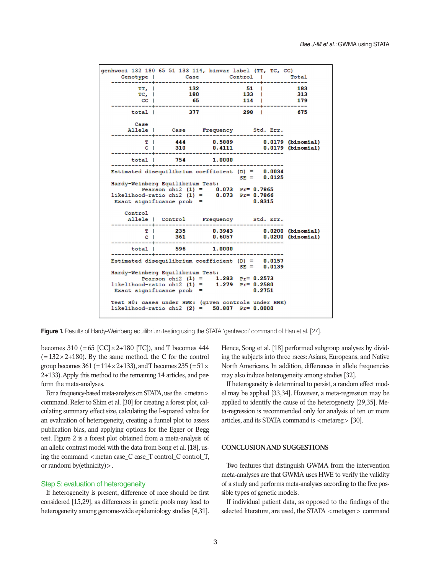

**Figure 1.** Results of Hardy-Weinberg equilibrium testing using the STATA 'genhwcci' command of Han et al. [27].

becomes 310 (=65 [CC] $\times$ 2+180 [TC]), and T becomes 444  $(=132\times2+180)$ . By the same method, the C for the control group becomes 361 (= $114 \times 2+133$ ), and T becomes 235 (= $51 \times$ 2+133). Apply this method to the remaining 14 articles, and perform the meta-analyses.

For a frequency-based meta-analysis on STATA, use the  $\langle$  metan $\rangle$ command. Refer to Shim et al. [30] for creating a forest plot, calculating summary effect size, calculating the I-squared value for an evaluation of heterogeneity, creating a funnel plot to assess publication bias, and applying options for the Egger or Begg test. Figure 2 is a forest plot obtained from a meta-analysis of an allelic contrast model with the data from Song et al. [18], using the command  $\leq$  metan case C case T control C control T, or randomi by(ethnicity)>.

# Step 5: evaluation of heterogeneity

If heterogeneity is present, difference of race should be first considered [15,29], as differences in genetic pools may lead to heterogeneity among genome-wide epidemiology studies [4,31].

Hence, Song et al. [18] performed subgroup analyses by dividing the subjects into three races: Asians, Europeans, and Native North Americans. In addition, differences in allele frequencies may also induce heterogeneity among studies [32].

If heterogeneity is determined to persist, a random effect model may be applied [33,34]. However, a meta-regression may be applied to identify the cause of the heterogeneity [29,35]. Meta-regression is recommended only for analysis of ten or more articles, and its STATA command is  $\langle$  metareg $\rangle$  [30].

# **CONCLUSION AND SUGGESTIONS**

Two features that distinguish GWMA from the intervention meta-analyses are that GWMA uses HWE to verify the validity of a study and performs meta-analyses according to the five possible types of genetic models.

If individual patient data, as opposed to the findings of the selected literature, are used, the STATA <metagen> command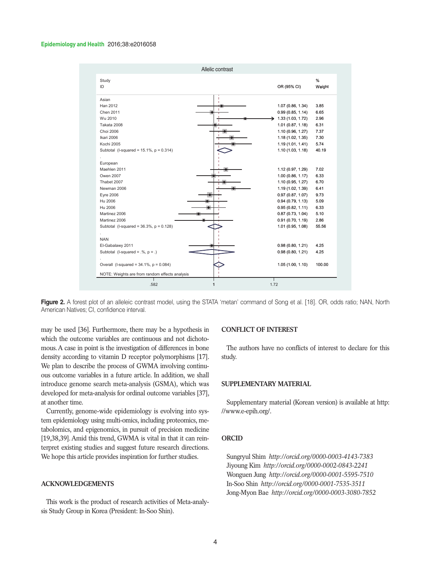#### **Epidemiology and Health** 2016;38:e2016058



Figure 2. A forest plot of an alleleic contrast model, using the STATA 'metan' command of Song et al. [18]. OR, odds ratio; NAN, North American Natives; CI, confidence interval.

may be used [36]. Furthermore, there may be a hypothesis in which the outcome variables are continuous and not dichotomous. A case in point is the investigation of differences in bone density according to vitamin D receptor polymorphisms [17]. We plan to describe the process of GWMA involving continuous outcome variables in a future article. In addition, we shall introduce genome search meta-analysis (GSMA), which was developed for meta-analysis for ordinal outcome variables [37], at another time.

Currently, genome-wide epidemiology is evolving into system epidemiology using multi-omics, including proteomics, metabolomics, and epigenomics, in pursuit of precision medicine [19,38,39]. Amid this trend, GWMA is vital in that it can reinterpret existing studies and suggest future research directions. We hope this article provides inspiration for further studies.

# **ACKNOWLEDGEMENTS**

This work is the product of research activities of Meta-analysis Study Group in Korea (President: In-Soo Shin).

# **CONFLICT OF INTEREST**

The authors have no conflicts of interest to declare for this study.

### **SUPPLEMENTARY MATERIAL**

Supplementary material (Korean version) is available at http: //www.e-epih.org/.

# **ORCID**

Sungryul Shim *http://orcid.org/0000-0003-4143-7383* Jiyoung Kim *http://orcid.org/0000-0002-0843-2241* Wonguen Jung *http://orcid.org/0000-0001-5595-7510* In-Soo Shin *http://orcid.org/0000-0001-7535-3511* Jong-Myon Bae *http://orcid.org/0000-0003-3080-7852*